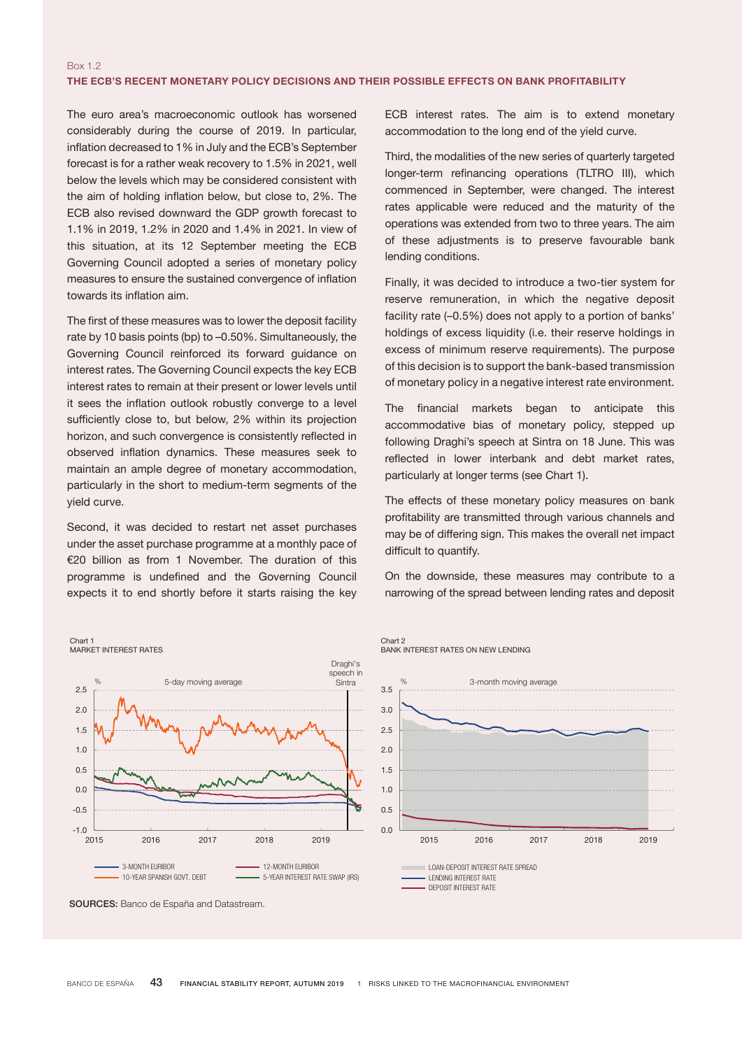## Box 1.2 THE ECB'S RECENT MONETARY POLICY DECISIONS AND THEIR POSSIBLE EFFECTS ON BANK PROFITABILITY

The euro area's macroeconomic outlook has worsened considerably during the course of 2019. In particular, inflation decreased to 1% in July and the ECB's September forecast is for a rather weak recovery to 1.5% in 2021, well below the levels which may be considered consistent with the aim of holding inflation below, but close to, 2%. The ECB also revised downward the GDP growth forecast to 1.1% in 2019, 1.2% in 2020 and 1.4% in 2021. In view of this situation, at its 12 September meeting the ECB Governing Council adopted a series of monetary policy measures to ensure the sustained convergence of inflation towards its inflation aim.

The first of these measures was to lower the deposit facility rate by 10 basis points (bp) to –0.50%. Simultaneously, the Governing Council reinforced its forward guidance on interest rates. The Governing Council expects the key ECB interest rates to remain at their present or lower levels until it sees the inflation outlook robustly converge to a level sufficiently close to, but below, 2% within its projection ennership street to, while them, we had a prejected in observed inflation dynamics. These measures seek to maintain an ample degree of monetary accommodation, particularly in the short to medium-term segments of the yield curve. Soverning Council reinforced its forward guidance on<br>Interest rates. The Governing Council expects the key ECB<br>Interest rates to remain at their present or lower levels until<br>1 t sees the inflation outlook robustly converg

Second, it was decided to restart net asset purchases under the asset purchase programme at a monthly pace of €20 billion as from 1 November. The duration of this programme is undefined and the Governing Council expects it to end shortly before it starts raising the key

ECB interest rates. The aim is to extend monetary accommodation to the long end of the yield curve.

Third, the modalities of the new series of quarterly targeted longer-term refinancing operations (TLTRO III), which commenced in September, were changed. The interest rates applicable were reduced and the maturity of the operations was extended from two to three years. The aim of these adjustments is to preserve favourable bank lending conditions.

Finally, it was decided to introduce a two-tier system for reserve remuneration, in which the negative deposit facility rate (–0.5%) does not apply to a portion of banks' holdings of excess liquidity (i.e. their reserve holdings in excess of minimum reserve requirements). The purpose of this decision is to support the bank-based transmission of monetary policy in a negative interest rate environment.

The financial markets began to anticipate this accommodative bias of monetary policy, stepped up following Draghi's speech at Sintra on 18 June. This was reflected in lower interbank and debt market rates, particularly at longer terms (see Chart 1).

The effects of these monetary policy measures on bank profitability are transmitted through various channels and may be of differing sign. This makes the overall net impact difficult to quantify. 2015 2016 2017 2018 2019

On the downside, these measures may contribute to a narrowing of the spread between lending rates and deposit g of the sprea



SOURCES: Banco de España and Datastream.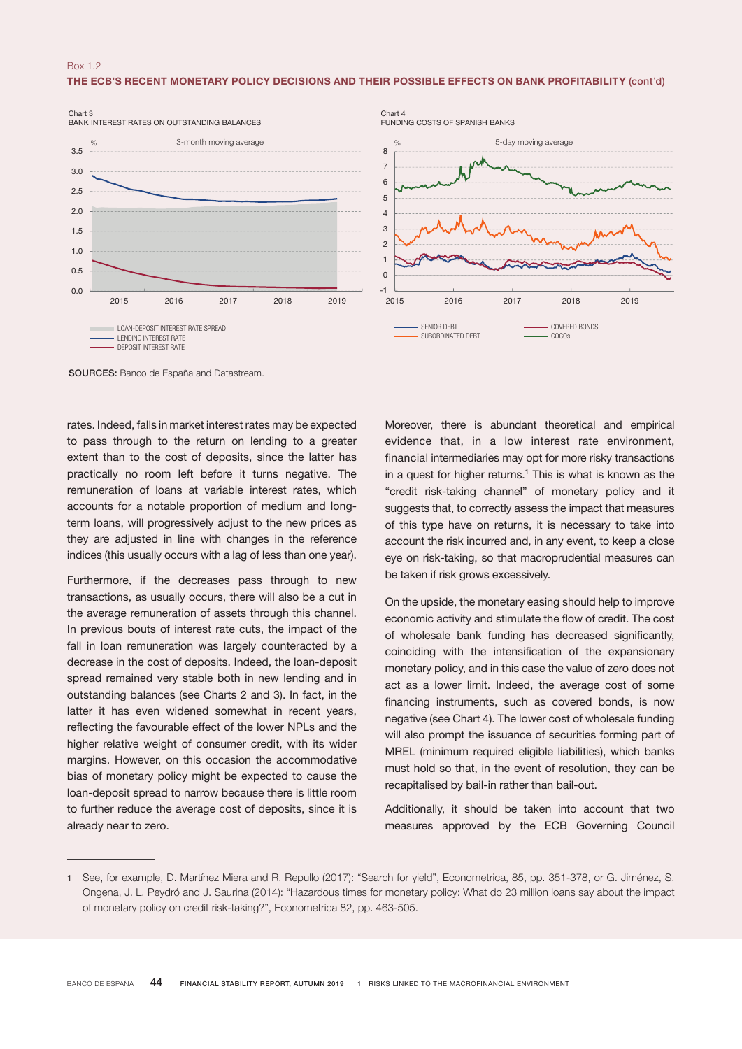## Box 1.2 THE ECB'S RECENT MONETARY POLICY DECISIONS AND THEIR POSSIBLE EFFECTS ON BANK PROFITABILITY (cont'd)





SOURCES: Banco de España and Datastream.

rates. Indeed, falls in market interest rates may be expected to pass through to the return on lending to a greater extent than to the cost of deposits, since the latter has practically no room left before it turns negative. The remuneration of loans at variable interest rates, which accounts for a notable proportion of medium and longterm loans, will progressively adjust to the new prices as they are adjusted in line with changes in the reference indices (this usually occurs with a lag of less than one year).

Furthermore, if the decreases pass through to new transactions, as usually occurs, there will also be a cut in the average remuneration of assets through this channel. In previous bouts of interest rate cuts, the impact of the fall in loan remuneration was largely counteracted by a decrease in the cost of deposits. Indeed, the loan-deposit spread remained very stable both in new lending and in outstanding balances (see Charts 2 and 3). In fact, in the latter it has even widened somewhat in recent years, reflecting the favourable effect of the lower NPLs and the higher relative weight of consumer credit, with its wider margins. However, on this occasion the accommodative bias of monetary policy might be expected to cause the loan-deposit spread to narrow because there is little room to further reduce the average cost of deposits, since it is already near to zero.

Moreover, there is abundant theoretical and empirical evidence that, in a low interest rate environment, financial intermediaries may opt for more risky transactions in a quest for higher returns. $<sup>1</sup>$  This is what is known as the</sup> "credit risk-taking channel" of monetary policy and it suggests that, to correctly assess the impact that measures of this type have on returns, it is necessary to take into account the risk incurred and, in any event, to keep a close eye on risk-taking, so that macroprudential measures can be taken if risk grows excessively.

On the upside, the monetary easing should help to improve economic activity and stimulate the flow of credit. The cost of wholesale bank funding has decreased significantly, coinciding with the intensification of the expansionary monetary policy, and in this case the value of zero does not act as a lower limit. Indeed, the average cost of some financing instruments, such as covered bonds, is now negative (see Chart 4). The lower cost of wholesale funding will also prompt the issuance of securities forming part of MREL (minimum required eligible liabilities), which banks must hold so that, in the event of resolution, they can be recapitalised by bail-in rather than bail-out.

Additionally, it should be taken into account that two measures approved by the ECB Governing Council

<sup>1</sup> See, for example, D. Martínez Miera and R. Repullo (2017): "Search for yield", Econometrica, 85, pp. 351-378, or G. Jiménez, S. Ongena, J. L. Peydró and J. Saurina (2014): "Hazardous times for monetary policy: What do 23 million loans say about the impact of monetary policy on credit risk-taking?", Econometrica 82, pp. 463-505.